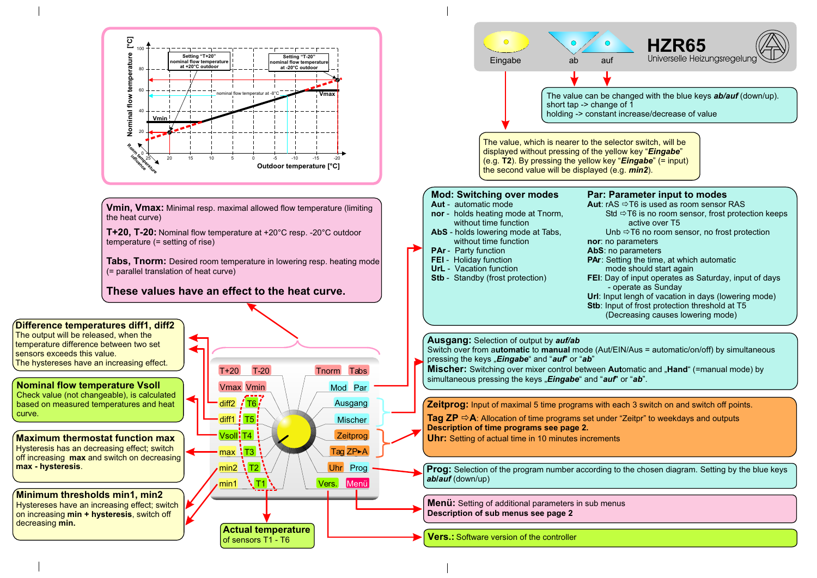



The value can be changed with the blue keys *ab/auf* (down/up).

Std  $\Rightarrow$  T6 is no room sensor, frost protection keeps active over T5

Unb  $\Rightarrow$  T6 no room sensor, no frost protection **nor**: no parameters

## **Par: Parameter input to modes**

**Aut:** rAS  $\Rightarrow$  T6 is used as room sensor RAS

**AbS**: no parameters

**PAr:** Setting the time, at which automatic

mode should start again

**FEI**: Day of input operates as Saturday, input of days - operate as Sunday

**Url**: Input lengh of vacation in days (lowering mode)

**Stb**: Input of frost protection threshold at T5

(Decreasing causes lowering mode)